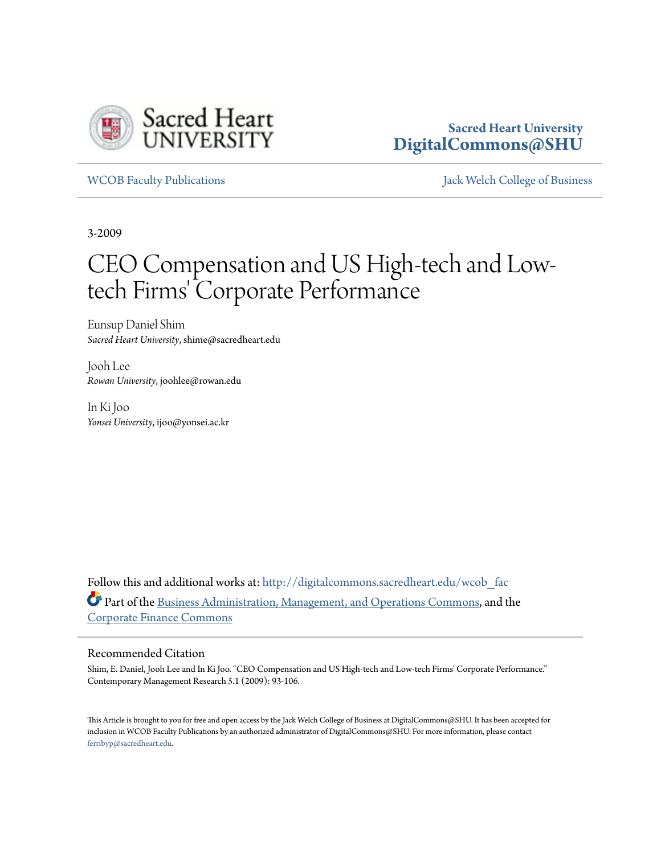

## **Sacred Heart University [DigitalCommons@SHU](http://digitalcommons.sacredheart.edu?utm_source=digitalcommons.sacredheart.edu%2Fwcob_fac%2F51&utm_medium=PDF&utm_campaign=PDFCoverPages)**

[WCOB Faculty Publications](http://digitalcommons.sacredheart.edu/wcob_fac?utm_source=digitalcommons.sacredheart.edu%2Fwcob_fac%2F51&utm_medium=PDF&utm_campaign=PDFCoverPages) [Jack Welch College of Business](http://digitalcommons.sacredheart.edu/wcob?utm_source=digitalcommons.sacredheart.edu%2Fwcob_fac%2F51&utm_medium=PDF&utm_campaign=PDFCoverPages)

3-2009

# CEO Compensation and US High-tech and Lowtech Firms' Corporate Performance

Eunsup Daniel Shim *Sacred Heart University*, shime@sacredheart.edu

Jooh Lee *Rowan University*, joohlee@rowan.edu

In Ki Joo *Yonsei University*, ijoo@yonsei.ac.kr

Follow this and additional works at: [http://digitalcommons.sacredheart.edu/wcob\\_fac](http://digitalcommons.sacredheart.edu/wcob_fac?utm_source=digitalcommons.sacredheart.edu%2Fwcob_fac%2F51&utm_medium=PDF&utm_campaign=PDFCoverPages) Part of the [Business Administration, Management, and Operations Commons](http://network.bepress.com/hgg/discipline/623?utm_source=digitalcommons.sacredheart.edu%2Fwcob_fac%2F51&utm_medium=PDF&utm_campaign=PDFCoverPages), and the [Corporate Finance Commons](http://network.bepress.com/hgg/discipline/629?utm_source=digitalcommons.sacredheart.edu%2Fwcob_fac%2F51&utm_medium=PDF&utm_campaign=PDFCoverPages)

#### Recommended Citation

Shim, E. Daniel, Jooh Lee and In Ki Joo. "CEO Compensation and US High-tech and Low-tech Firms' Corporate Performance." Contemporary Management Research 5.1 (2009): 93-106.

This Article is brought to you for free and open access by the Jack Welch College of Business at DigitalCommons@SHU. It has been accepted for inclusion in WCOB Faculty Publications by an authorized administrator of DigitalCommons@SHU. For more information, please contact [ferribyp@sacredheart.edu](mailto:ferribyp@sacredheart.edu).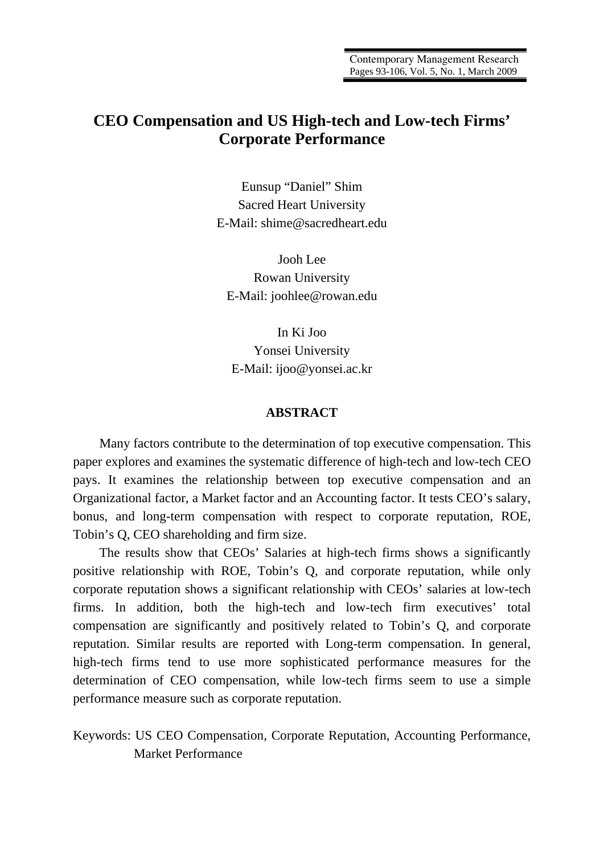# **CEO Compensation and US High-tech and Low-tech Firms' Corporate Performance**

Eunsup "Daniel" Shim Sacred Heart University E-Mail: shime@sacredheart.edu

Jooh Lee Rowan University E-Mail: joohlee@rowan.edu

In Ki Joo Yonsei University E-Mail: ijoo@yonsei.ac.kr

#### **ABSTRACT**

Many factors contribute to the determination of top executive compensation. This paper explores and examines the systematic difference of high-tech and low-tech CEO pays. It examines the relationship between top executive compensation and an Organizational factor, a Market factor and an Accounting factor. It tests CEO's salary, bonus, and long-term compensation with respect to corporate reputation, ROE, Tobin's Q, CEO shareholding and firm size.

The results show that CEOs' Salaries at high-tech firms shows a significantly positive relationship with ROE, Tobin's Q, and corporate reputation, while only corporate reputation shows a significant relationship with CEOs' salaries at low-tech firms. In addition, both the high-tech and low-tech firm executives' total compensation are significantly and positively related to Tobin's Q, and corporate reputation. Similar results are reported with Long-term compensation. In general, high-tech firms tend to use more sophisticated performance measures for the determination of CEO compensation, while low-tech firms seem to use a simple performance measure such as corporate reputation.

Keywords: US CEO Compensation, Corporate Reputation, Accounting Performance, Market Performance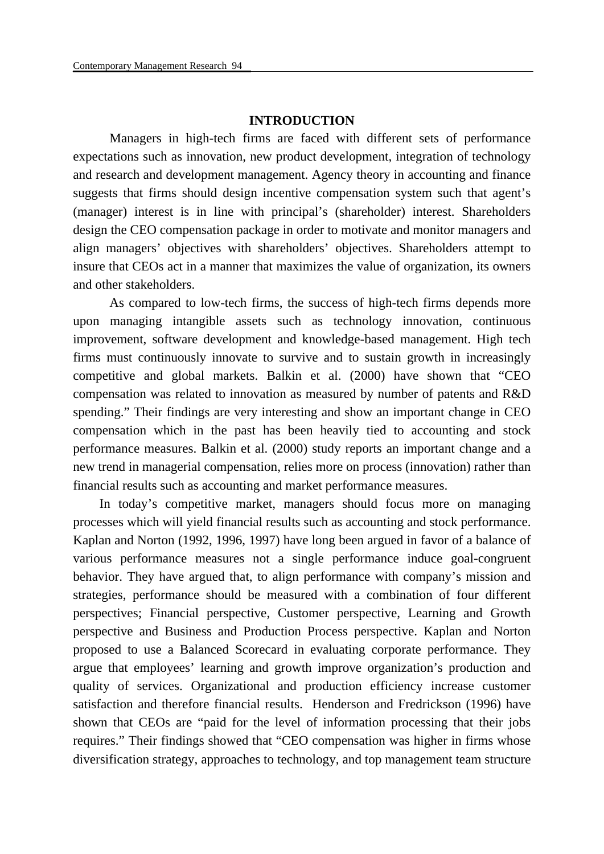#### **INTRODUCTION**

 Managers in high-tech firms are faced with different sets of performance expectations such as innovation, new product development, integration of technology and research and development management. Agency theory in accounting and finance suggests that firms should design incentive compensation system such that agent's (manager) interest is in line with principal's (shareholder) interest. Shareholders design the CEO compensation package in order to motivate and monitor managers and align managers' objectives with shareholders' objectives. Shareholders attempt to insure that CEOs act in a manner that maximizes the value of organization, its owners and other stakeholders.

 As compared to low-tech firms, the success of high-tech firms depends more upon managing intangible assets such as technology innovation, continuous improvement, software development and knowledge-based management. High tech firms must continuously innovate to survive and to sustain growth in increasingly competitive and global markets. Balkin et al. (2000) have shown that "CEO compensation was related to innovation as measured by number of patents and R&D spending." Their findings are very interesting and show an important change in CEO compensation which in the past has been heavily tied to accounting and stock performance measures. Balkin et al. (2000) study reports an important change and a new trend in managerial compensation, relies more on process (innovation) rather than financial results such as accounting and market performance measures.

In today's competitive market, managers should focus more on managing processes which will yield financial results such as accounting and stock performance. Kaplan and Norton (1992, 1996, 1997) have long been argued in favor of a balance of various performance measures not a single performance induce goal-congruent behavior. They have argued that, to align performance with company's mission and strategies, performance should be measured with a combination of four different perspectives; Financial perspective, Customer perspective, Learning and Growth perspective and Business and Production Process perspective. Kaplan and Norton proposed to use a Balanced Scorecard in evaluating corporate performance. They argue that employees' learning and growth improve organization's production and quality of services. Organizational and production efficiency increase customer satisfaction and therefore financial results. Henderson and Fredrickson (1996) have shown that CEOs are "paid for the level of information processing that their jobs requires." Their findings showed that "CEO compensation was higher in firms whose diversification strategy, approaches to technology, and top management team structure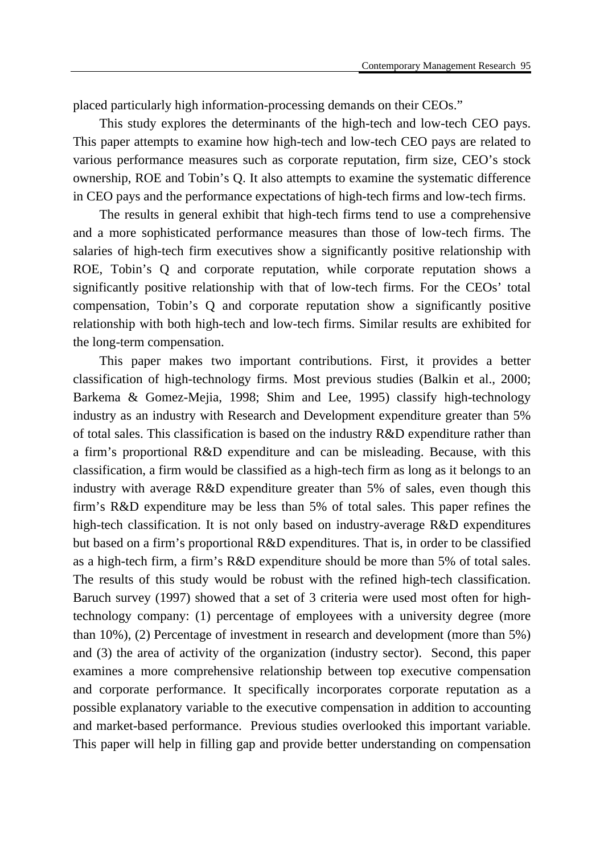placed particularly high information-processing demands on their CEOs."

This study explores the determinants of the high-tech and low-tech CEO pays. This paper attempts to examine how high-tech and low-tech CEO pays are related to various performance measures such as corporate reputation, firm size, CEO's stock ownership, ROE and Tobin's Q. It also attempts to examine the systematic difference in CEO pays and the performance expectations of high-tech firms and low-tech firms.

The results in general exhibit that high-tech firms tend to use a comprehensive and a more sophisticated performance measures than those of low-tech firms. The salaries of high-tech firm executives show a significantly positive relationship with ROE, Tobin's Q and corporate reputation, while corporate reputation shows a significantly positive relationship with that of low-tech firms. For the CEOs' total compensation, Tobin's Q and corporate reputation show a significantly positive relationship with both high-tech and low-tech firms. Similar results are exhibited for the long-term compensation.

This paper makes two important contributions. First, it provides a better classification of high-technology firms. Most previous studies (Balkin et al., 2000; Barkema & Gomez-Mejia, 1998; Shim and Lee, 1995) classify high-technology industry as an industry with Research and Development expenditure greater than 5% of total sales. This classification is based on the industry R&D expenditure rather than a firm's proportional R&D expenditure and can be misleading. Because, with this classification, a firm would be classified as a high-tech firm as long as it belongs to an industry with average R&D expenditure greater than 5% of sales, even though this firm's R&D expenditure may be less than 5% of total sales. This paper refines the high-tech classification. It is not only based on industry-average R&D expenditures but based on a firm's proportional R&D expenditures. That is, in order to be classified as a high-tech firm, a firm's R&D expenditure should be more than 5% of total sales. The results of this study would be robust with the refined high-tech classification. Baruch survey (1997) showed that a set of 3 criteria were used most often for hightechnology company: (1) percentage of employees with a university degree (more than 10%), (2) Percentage of investment in research and development (more than 5%) and (3) the area of activity of the organization (industry sector). Second, this paper examines a more comprehensive relationship between top executive compensation and corporate performance. It specifically incorporates corporate reputation as a possible explanatory variable to the executive compensation in addition to accounting and market-based performance. Previous studies overlooked this important variable. This paper will help in filling gap and provide better understanding on compensation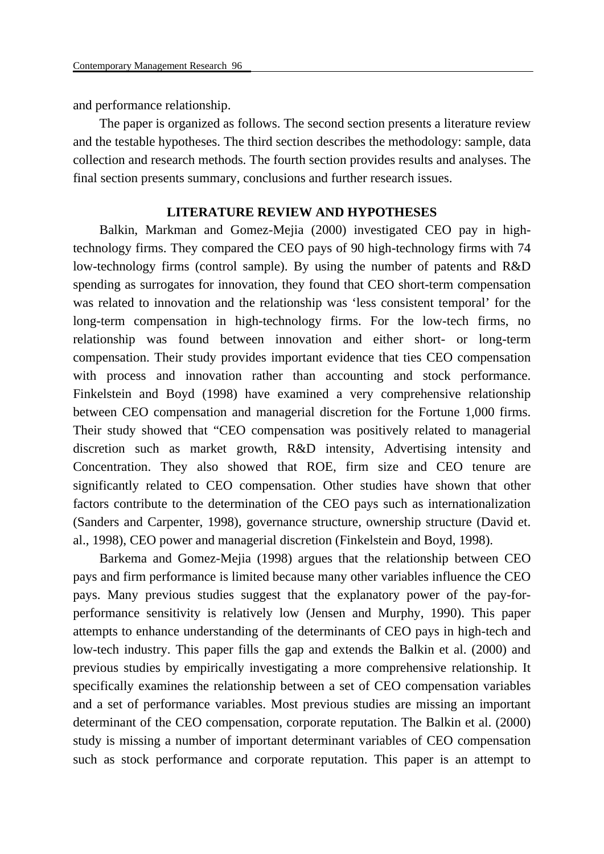and performance relationship.

The paper is organized as follows. The second section presents a literature review and the testable hypotheses. The third section describes the methodology: sample, data collection and research methods. The fourth section provides results and analyses. The final section presents summary, conclusions and further research issues.

#### **LITERATURE REVIEW AND HYPOTHESES**

Balkin, Markman and Gomez-Mejia (2000) investigated CEO pay in hightechnology firms. They compared the CEO pays of 90 high-technology firms with 74 low-technology firms (control sample). By using the number of patents and R&D spending as surrogates for innovation, they found that CEO short-term compensation was related to innovation and the relationship was 'less consistent temporal' for the long-term compensation in high-technology firms. For the low-tech firms, no relationship was found between innovation and either short- or long-term compensation. Their study provides important evidence that ties CEO compensation with process and innovation rather than accounting and stock performance. Finkelstein and Boyd (1998) have examined a very comprehensive relationship between CEO compensation and managerial discretion for the Fortune 1,000 firms. Their study showed that "CEO compensation was positively related to managerial discretion such as market growth, R&D intensity, Advertising intensity and Concentration. They also showed that ROE, firm size and CEO tenure are significantly related to CEO compensation. Other studies have shown that other factors contribute to the determination of the CEO pays such as internationalization (Sanders and Carpenter, 1998), governance structure, ownership structure (David et. al., 1998), CEO power and managerial discretion (Finkelstein and Boyd, 1998).

Barkema and Gomez-Mejia (1998) argues that the relationship between CEO pays and firm performance is limited because many other variables influence the CEO pays. Many previous studies suggest that the explanatory power of the pay-forperformance sensitivity is relatively low (Jensen and Murphy, 1990). This paper attempts to enhance understanding of the determinants of CEO pays in high-tech and low-tech industry. This paper fills the gap and extends the Balkin et al. (2000) and previous studies by empirically investigating a more comprehensive relationship. It specifically examines the relationship between a set of CEO compensation variables and a set of performance variables. Most previous studies are missing an important determinant of the CEO compensation, corporate reputation. The Balkin et al. (2000) study is missing a number of important determinant variables of CEO compensation such as stock performance and corporate reputation. This paper is an attempt to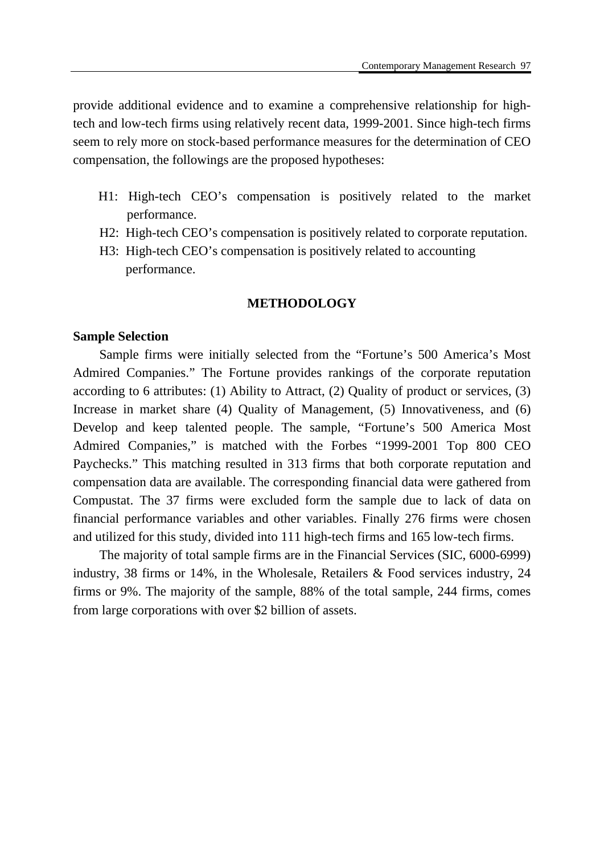provide additional evidence and to examine a comprehensive relationship for hightech and low-tech firms using relatively recent data, 1999-2001. Since high-tech firms seem to rely more on stock-based performance measures for the determination of CEO compensation, the followings are the proposed hypotheses:

- H1: High-tech CEO's compensation is positively related to the market performance.
- H2: High-tech CEO's compensation is positively related to corporate reputation.
- H3: High-tech CEO's compensation is positively related to accounting performance.

#### **METHODOLOGY**

#### **Sample Selection**

Sample firms were initially selected from the "Fortune's 500 America's Most Admired Companies." The Fortune provides rankings of the corporate reputation according to 6 attributes: (1) Ability to Attract, (2) Quality of product or services, (3) Increase in market share (4) Quality of Management, (5) Innovativeness, and (6) Develop and keep talented people. The sample, "Fortune's 500 America Most Admired Companies," is matched with the Forbes "1999-2001 Top 800 CEO Paychecks." This matching resulted in 313 firms that both corporate reputation and compensation data are available. The corresponding financial data were gathered from Compustat. The 37 firms were excluded form the sample due to lack of data on financial performance variables and other variables. Finally 276 firms were chosen and utilized for this study, divided into 111 high-tech firms and 165 low-tech firms.

The majority of total sample firms are in the Financial Services (SIC, 6000-6999) industry, 38 firms or 14%, in the Wholesale, Retailers & Food services industry, 24 firms or 9%. The majority of the sample, 88% of the total sample, 244 firms, comes from large corporations with over \$2 billion of assets.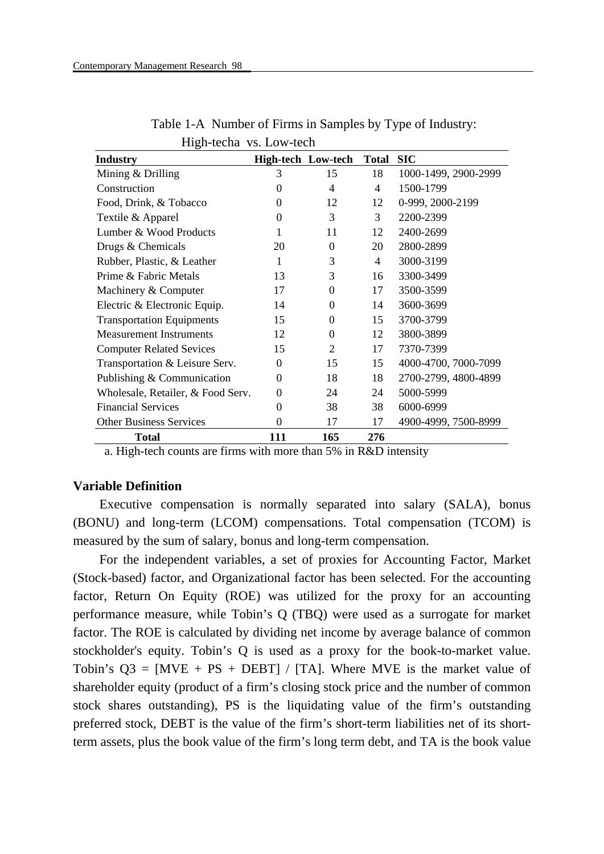| <b>Industry</b>                   | <b>High-tech Low-tech</b> |          | <b>Total</b>   | SIC                  |
|-----------------------------------|---------------------------|----------|----------------|----------------------|
| Mining & Drilling                 | 3                         | 15       | 18             | 1000-1499, 2900-2999 |
| Construction                      | 0                         | 4        | $\overline{4}$ | 1500-1799            |
| Food, Drink, & Tobacco            | 0                         | 12       | 12             | 0-999, 2000-2199     |
| Textile & Apparel                 | 0                         | 3        | 3              | 2200-2399            |
| Lumber & Wood Products            |                           | 11       | 12             | 2400-2699            |
| Drugs & Chemicals                 | 20                        | $\theta$ | 20             | 2800-2899            |
| Rubber, Plastic, & Leather        | 1                         | 3        | $\overline{4}$ | 3000-3199            |
| Prime & Fabric Metals             | 13                        | 3        | 16             | 3300-3499            |
| Machinery & Computer              | 17                        | $\theta$ | 17             | 3500-3599            |
| Electric & Electronic Equip.      | 14                        | $\theta$ | 14             | 3600-3699            |
| <b>Transportation Equipments</b>  | 15                        | $\theta$ | 15             | 3700-3799            |
| <b>Measurement Instruments</b>    | 12                        | 0        | 12             | 3800-3899            |
| <b>Computer Related Sevices</b>   | 15                        | 2        | 17             | 7370-7399            |
| Transportation & Leisure Serv.    | 0                         | 15       | 15             | 4000-4700, 7000-7099 |
| Publishing & Communication        | 0                         | 18       | 18             | 2700-2799, 4800-4899 |
| Wholesale, Retailer, & Food Serv. | 0                         | 24       | 24             | 5000-5999            |
| <b>Financial Services</b>         | $\Omega$                  | 38       | 38             | 6000-6999            |
| <b>Other Business Services</b>    | 0                         | 17       | 17             | 4900-4999, 7500-8999 |
| <b>Total</b>                      | <b>111</b>                | 165      | 276            |                      |

Table 1-A Number of Firms in Samples by Type of Industry: High-techa vs. Low-tech

a. High-tech counts are firms with more than 5% in R&D intensity

### **Variable Definition**

Executive compensation is normally separated into salary (SALA), bonus (BONU) and long-term (LCOM) compensations. Total compensation (TCOM) is measured by the sum of salary, bonus and long-term compensation.

For the independent variables, a set of proxies for Accounting Factor, Market (Stock-based) factor, and Organizational factor has been selected. For the accounting factor, Return On Equity (ROE) was utilized for the proxy for an accounting performance measure, while Tobin's Q (TBQ) were used as a surrogate for market factor. The ROE is calculated by dividing net income by average balance of common stockholder's equity. Tobin's Q is used as a proxy for the book-to-market value. Tobin's  $Q3 = [MVE + PS + DEBT] / [TA]$ . Where MVE is the market value of shareholder equity (product of a firm's closing stock price and the number of common stock shares outstanding), PS is the liquidating value of the firm's outstanding preferred stock, DEBT is the value of the firm's short-term liabilities net of its shortterm assets, plus the book value of the firm's long term debt, and TA is the book value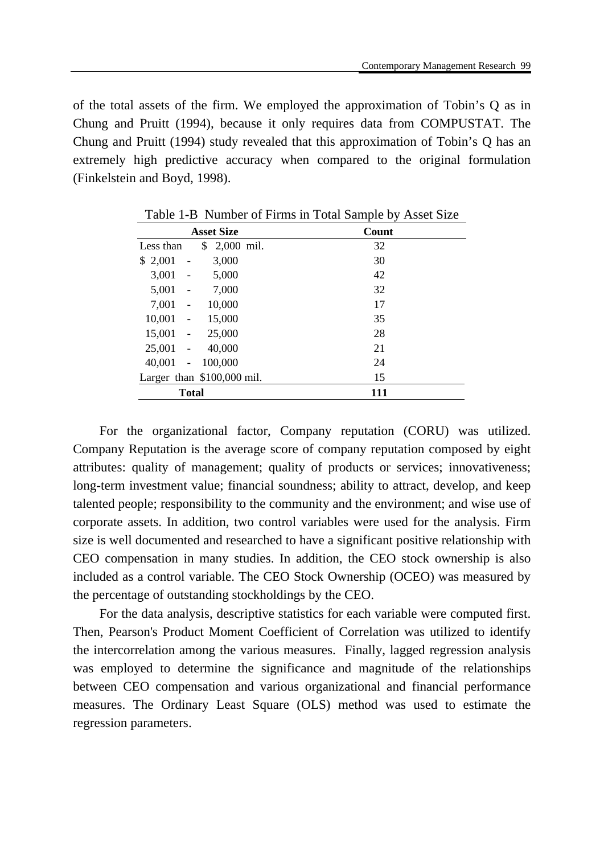of the total assets of the firm. We employed the approximation of Tobin's Q as in Chung and Pruitt (1994), because it only requires data from COMPUSTAT. The Chung and Pruitt (1994) study revealed that this approximation of Tobin's Q has an extremely high predictive accuracy when compared to the original formulation (Finkelstein and Boyd, 1998).

| <b>Asset Size</b>                             | Count |
|-----------------------------------------------|-------|
| 2,000 mil.<br>\$<br>Less than                 | 32    |
| \$2,001<br>3,000<br>$\overline{a}$            | 30    |
| 3,001<br>5,000                                | 42    |
| 7,000<br>5,001                                | 32    |
| 10,000<br>7,001<br>$\overline{a}$             | 17    |
| 10,001<br>15,000<br>$\overline{\phantom{a}}$  | 35    |
| 15,001<br>25,000<br>$\frac{1}{2}$             | 28    |
| 40,000<br>25,001                              | 21    |
| 40,001<br>100,000<br>$\overline{\phantom{a}}$ | 24    |
| Larger than $$100,000$ mil.                   | 15    |
| <b>Total</b>                                  | 111   |

Table 1-B Number of Firms in Total Sample by Asset Size

For the organizational factor, Company reputation (CORU) was utilized. Company Reputation is the average score of company reputation composed by eight attributes: quality of management; quality of products or services; innovativeness; long-term investment value; financial soundness; ability to attract, develop, and keep talented people; responsibility to the community and the environment; and wise use of corporate assets. In addition, two control variables were used for the analysis. Firm size is well documented and researched to have a significant positive relationship with CEO compensation in many studies. In addition, the CEO stock ownership is also included as a control variable. The CEO Stock Ownership (OCEO) was measured by the percentage of outstanding stockholdings by the CEO.

For the data analysis, descriptive statistics for each variable were computed first. Then, Pearson's Product Moment Coefficient of Correlation was utilized to identify the intercorrelation among the various measures. Finally, lagged regression analysis was employed to determine the significance and magnitude of the relationships between CEO compensation and various organizational and financial performance measures. The Ordinary Least Square (OLS) method was used to estimate the regression parameters.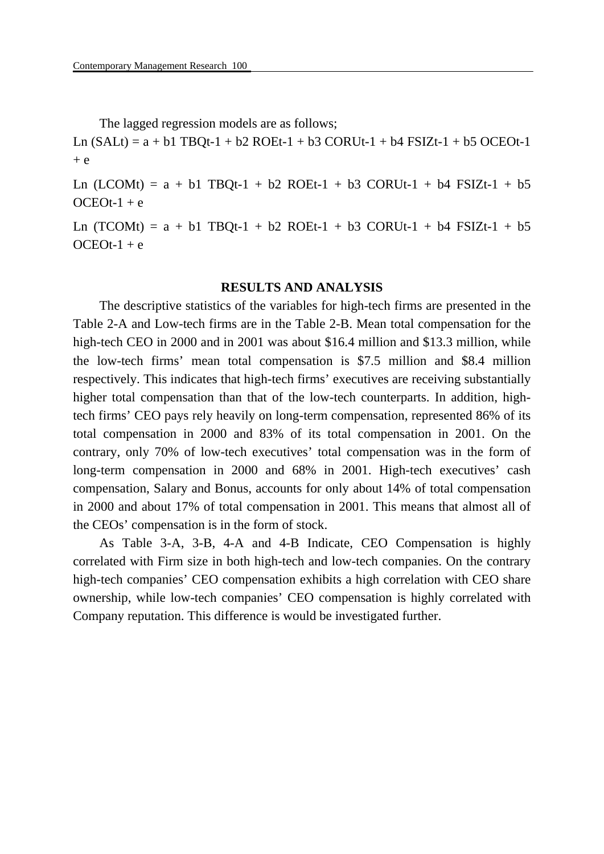The lagged regression models are as follows;

Ln  $(SALt) = a + b1 TBOt-1 + b2 ROEt-1 + b3 CONUt-1 + b4 FSIZt-1 + b5 OCEOt-1$  $+$  e

Ln (LCOMt) =  $a + b1$  TBQt-1 + b2 ROEt-1 + b3 CORUt-1 + b4 FSIZt-1 + b5  $OCEOt-1 + e$ 

Ln  $(TCOMt) = a + b1 TBQt-1 + b2 ROEt-1 + b3 CONUt-1 + b4 FSIZt-1 + b5$  $OCEOt-1 + e$ 

#### **RESULTS AND ANALYSIS**

The descriptive statistics of the variables for high-tech firms are presented in the Table 2-A and Low-tech firms are in the Table 2-B. Mean total compensation for the high-tech CEO in 2000 and in 2001 was about \$16.4 million and \$13.3 million, while the low-tech firms' mean total compensation is \$7.5 million and \$8.4 million respectively. This indicates that high-tech firms' executives are receiving substantially higher total compensation than that of the low-tech counterparts. In addition, hightech firms' CEO pays rely heavily on long-term compensation, represented 86% of its total compensation in 2000 and 83% of its total compensation in 2001. On the contrary, only 70% of low-tech executives' total compensation was in the form of long-term compensation in 2000 and 68% in 2001. High-tech executives' cash compensation, Salary and Bonus, accounts for only about 14% of total compensation in 2000 and about 17% of total compensation in 2001. This means that almost all of the CEOs' compensation is in the form of stock.

As Table 3-A, 3-B, 4-A and 4-B Indicate, CEO Compensation is highly correlated with Firm size in both high-tech and low-tech companies. On the contrary high-tech companies' CEO compensation exhibits a high correlation with CEO share ownership, while low-tech companies' CEO compensation is highly correlated with Company reputation. This difference is would be investigated further.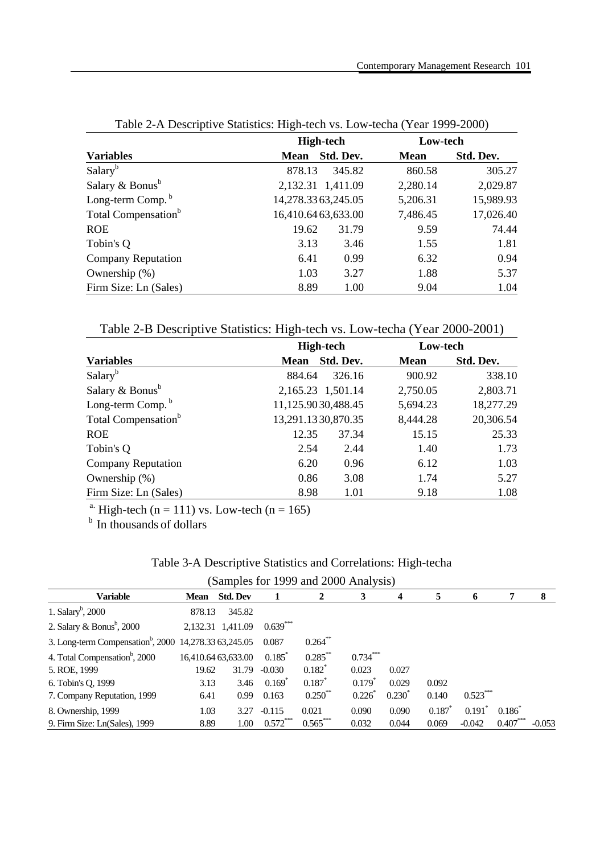|                                 | <b>High-tech</b>   |           | Low-tech    |           |  |
|---------------------------------|--------------------|-----------|-------------|-----------|--|
| <b>Variables</b>                | <b>Mean</b>        | Std. Dev. | <b>Mean</b> | Std. Dev. |  |
| Salary <sup>b</sup>             | 878.13             | 345.82    | 860.58      | 305.27    |  |
| Salary & Bonus $b$              | 2,132.31 1,411.09  |           | 2,280.14    | 2,029.87  |  |
| Long-term Comp. <sup>b</sup>    | 14,278.3363,245.05 |           | 5,206.31    | 15,989.93 |  |
| Total Compensation <sup>b</sup> | 16,410.6463,633.00 |           | 7,486.45    | 17,026.40 |  |
| <b>ROE</b>                      | 19.62              | 31.79     | 9.59        | 74.44     |  |
| Tobin's Q                       | 3.13               | 3.46      | 1.55        | 1.81      |  |
| <b>Company Reputation</b>       | 6.41               | 0.99      | 6.32        | 0.94      |  |
| Ownership (%)                   | 1.03               | 3.27      | 1.88        | 5.37      |  |
| Firm Size: Ln (Sales)           | 8.89               | 1.00      | 9.04        | 1.04      |  |

Table 2-A Descriptive Statistics: High-tech vs. Low-techa (Year 1999-2000)

Table 2-B Descriptive Statistics: High-tech vs. Low-techa (Year 2000-2001)

|                                 | <b>High-tech</b>   |           | Low-tech    |           |  |
|---------------------------------|--------------------|-----------|-------------|-----------|--|
| <b>Variables</b>                | <b>Mean</b>        | Std. Dev. | <b>Mean</b> | Std. Dev. |  |
| Salary <sup>b</sup>             | 884.64             | 326.16    | 900.92      | 338.10    |  |
| Salary $&$ Bonus <sup>b</sup>   | 2,165.23 1,501.14  |           | 2,750.05    | 2,803.71  |  |
| Long-term Comp. <sup>b</sup>    | 11,125.9030,488.45 |           | 5,694.23    | 18,277.29 |  |
| Total Compensation <sup>b</sup> | 13,291.1330,870.35 |           | 8,444.28    | 20,306.54 |  |
| <b>ROE</b>                      | 12.35              | 37.34     | 15.15       | 25.33     |  |
| Tobin's Q                       | 2.54               | 2.44      | 1.40        | 1.73      |  |
| Company Reputation              | 6.20               | 0.96      | 6.12        | 1.03      |  |
| Ownership $(\%)$                | 0.86               | 3.08      | 1.74        | 5.27      |  |
| Firm Size: Ln (Sales)           | 8.98               | 1.01      | 9.18        | 1.08      |  |

<sup>a.</sup> High-tech (n = 111) vs. Low-tech (n = 165) <sup>b</sup> In thousands of dollars

| Table 3-A Descriptive Statistics and Correlations: High-techa |  |
|---------------------------------------------------------------|--|
|---------------------------------------------------------------|--|

|  |  |  | (Samples for 1999 and 2000 Analysis) |
|--|--|--|--------------------------------------|
|--|--|--|--------------------------------------|

| <b>Variable</b>                                                     | Mean   | <b>Std. Dev</b>     |            | 2          | 3           | 4                 | 5     | Ð          |                   | 8        |
|---------------------------------------------------------------------|--------|---------------------|------------|------------|-------------|-------------------|-------|------------|-------------------|----------|
| 1. Salary <sup>b</sup> , 2000                                       | 878.13 | 345.82              |            |            |             |                   |       |            |                   |          |
| 2. Salary & Bonus <sup>b</sup> , 2000                               |        | 2,132.31 1,411.09   | $0.639***$ |            |             |                   |       |            |                   |          |
| 3. Long-term Compensation <sup>b</sup> , 2000 14, 278.33 63, 245.05 |        |                     | 0.087      | $0.264***$ |             |                   |       |            |                   |          |
| 4. Total Compensation <sup>b</sup> , 2000                           |        | 16,410.64 63,633.00 | 0.185      | $0.285***$ | $0.734***$  |                   |       |            |                   |          |
| 5. ROE, 1999                                                        | 19.62  | 31.79               | $-0.030$   | $0.182*$   | 0.023       | 0.027             |       |            |                   |          |
| 6. Tobin's Q, 1999                                                  | 3.13   | 3.46                | $0.169^*$  | $0.187*$   | $0.179^{*}$ | 0.029             | 0.092 |            |                   |          |
| 7. Company Reputation, 1999                                         | 6.41   | 0.99                | 0.163      | $0.250**$  | 0.226       | $0.230^{\degree}$ | 0.140 | $0.523***$ |                   |          |
| 8. Ownership, 1999                                                  | 1.03   | 3.27                | $-0.115$   | 0.021      | 0.090       | 0.090             | 0.187 | $0.191$ *  | $0.186^{\degree}$ |          |
| 9. Firm Size: Ln(Sales), 1999                                       | 8.89   | 1.00                | $0.572***$ | $0.565***$ | 0.032       | 0.044             | 0.069 | $-0.042$   | $0.407***$        | $-0.053$ |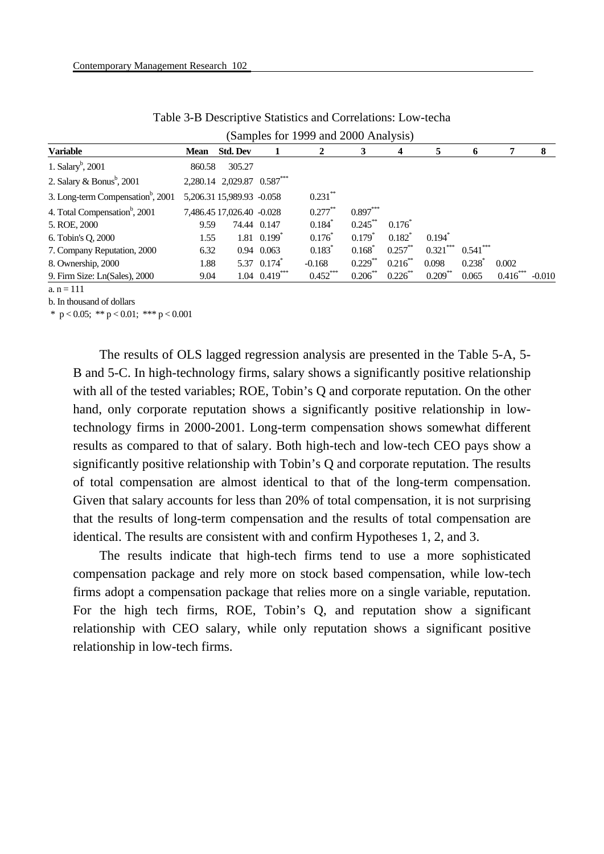|                                               |                            |                 |                                 | (Samples for 1999 and 2000 Analysis) |                      |            |                      |                      |                   |          |
|-----------------------------------------------|----------------------------|-----------------|---------------------------------|--------------------------------------|----------------------|------------|----------------------|----------------------|-------------------|----------|
| <b>Variable</b>                               | <b>Mean</b>                | <b>Std. Dev</b> |                                 |                                      | 3                    | 4          | 5                    | 0                    |                   | 8        |
| 1. Salary <sup>b</sup> , 2001                 | 860.58                     | 305.27          |                                 |                                      |                      |            |                      |                      |                   |          |
| 2. Salary & Bonus <sup>b</sup> , 2001         | 2,280.14 2,029.87 0.587*** |                 |                                 |                                      |                      |            |                      |                      |                   |          |
| 3. Long-term Compensation <sup>b</sup> , 2001 | 5,206.31 15,989.93 -0.058  |                 |                                 | $0.231**$                            |                      |            |                      |                      |                   |          |
| 4. Total Compensation <sup>b</sup> , 2001     | 7,486.45 17,026.40 -0.028  |                 |                                 | $0.277***$                           | $0.897***$           |            |                      |                      |                   |          |
| 5. ROE, 2000                                  | 9.59                       |                 | 74.44 0.147                     | $0.184*$                             | $0.245$ **           | $0.176^*$  |                      |                      |                   |          |
| 6. Tobin's Q, 2000                            | 1.55                       |                 | $1.81 \quad 0.199$ <sup>*</sup> | $0.176*$                             | $0.179$ <sup>*</sup> | $0.182^*$  | $0.194$ <sup>*</sup> |                      |                   |          |
| 7. Company Reputation, 2000                   | 6.32                       |                 | 0.94 0.063                      | $0.183*$                             | $0.168^*$            | $0.257$ ** | $0.321***$           | $0.541***$           |                   |          |
| 8. Ownership, 2000                            | 1.88                       |                 | 5.37 0.174                      | $-0.168$                             | $0.229$ **           | $0.216$ ** | 0.098                | $0.238$ <sup>2</sup> | 0.002             |          |
| 9. Firm Size: Ln(Sales), 2000                 | 9.04                       |                 | $1.04$ $0.419$ <sup>***</sup>   | $0.452***$                           | 0.206                | 0.226      | $0.209$ **           | 0.065                | $0.416^{\degree}$ | $-0.01C$ |

Table 3-B Descriptive Statistics and Correlations: Low-techa

 $a_n = 111$ 

b. In thousand of dollars

\* p < 0.05; \*\* p < 0.01; \*\*\* p < 0.001

The results of OLS lagged regression analysis are presented in the Table 5-A, 5- B and 5-C. In high-technology firms, salary shows a significantly positive relationship with all of the tested variables; ROE, Tobin's Q and corporate reputation. On the other hand, only corporate reputation shows a significantly positive relationship in lowtechnology firms in 2000-2001. Long-term compensation shows somewhat different results as compared to that of salary. Both high-tech and low-tech CEO pays show a significantly positive relationship with Tobin's Q and corporate reputation. The results of total compensation are almost identical to that of the long-term compensation. Given that salary accounts for less than 20% of total compensation, it is not surprising that the results of long-term compensation and the results of total compensation are identical. The results are consistent with and confirm Hypotheses 1, 2, and 3.

The results indicate that high-tech firms tend to use a more sophisticated compensation package and rely more on stock based compensation, while low-tech firms adopt a compensation package that relies more on a single variable, reputation. For the high tech firms, ROE, Tobin's Q, and reputation show a significant relationship with CEO salary, while only reputation shows a significant positive relationship in low-tech firms.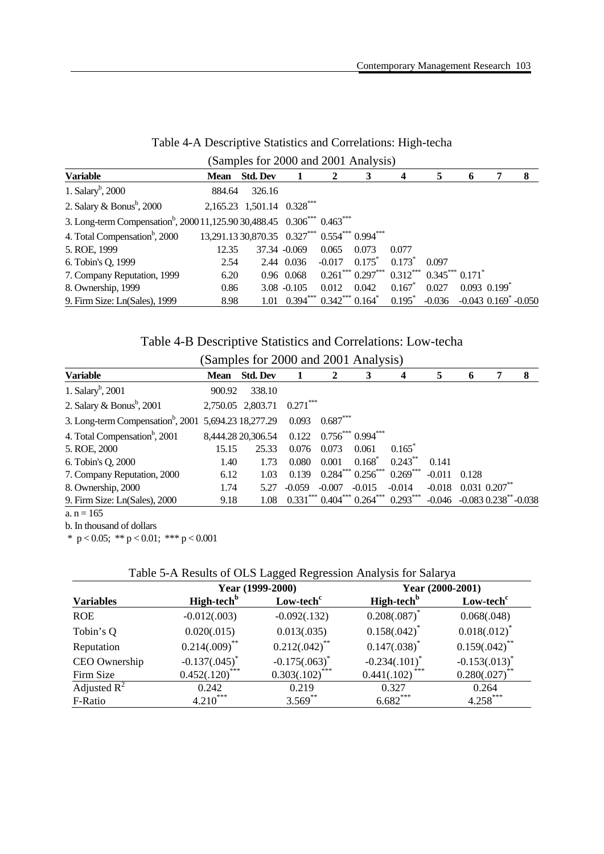| (Samples for 2000 and 2001 Analysis)                                                                        |             |                                                |                                                                     |              |                                                           |           |       |                              |                                        |   |
|-------------------------------------------------------------------------------------------------------------|-------------|------------------------------------------------|---------------------------------------------------------------------|--------------|-----------------------------------------------------------|-----------|-------|------------------------------|----------------------------------------|---|
| <b>Variable</b>                                                                                             | <b>Mean</b> | <b>Std. Dev</b>                                |                                                                     | $\mathbf{2}$ | 3                                                         | 4         | 5     | 6                            |                                        | 8 |
| 1. Salary <sup>b</sup> , 2000                                                                               | 884.64      | 326.16                                         |                                                                     |              |                                                           |           |       |                              |                                        |   |
| 2. Salary & Bonus <sup>b</sup> , 2000                                                                       |             | 2,165.23 1,501.14 0.328***                     |                                                                     |              |                                                           |           |       |                              |                                        |   |
| 3. Long-term Compensation <sup>b</sup> , 2000 11,125.90 30,488.45 0.306 <sup>***</sup> 0.463 <sup>***</sup> |             |                                                |                                                                     |              |                                                           |           |       |                              |                                        |   |
| 4. Total Compensation <sup>b</sup> , 2000                                                                   |             | 13,291.13 30,870.35 0.327*** 0.554*** 0.994*** |                                                                     |              |                                                           |           |       |                              |                                        |   |
| 5. ROE, 1999                                                                                                | 12.35       |                                                | 37.34 -0.069                                                        | 0.065        | 0.073                                                     | 0.077     |       |                              |                                        |   |
| 6. Tobin's Q, 1999                                                                                          | 2.54        |                                                | 2.44 0.036                                                          | $-0.017$     | $0.175^*$                                                 | $0.173^*$ | 0.097 |                              |                                        |   |
| 7. Company Reputation, 1999                                                                                 | 6.20        |                                                | 0.96 0.068                                                          |              | $0.261$ *** $0.297$ *** $0.312$ *** $0.345$ *** $0.171$ * |           |       |                              |                                        |   |
| 8. Ownership, 1999                                                                                          | 0.86        |                                                | $3.08 - 0.105$                                                      | 0.012        | 0.042                                                     | $0.167*$  | 0.027 | $0.093$ $0.199$ <sup>*</sup> |                                        |   |
| 9. Firm Size: Ln(Sales), 1999                                                                               | 8.98        |                                                | $1.01$ $0.394^{***}$ $0.342^{***}$ $0.164^{*}$ $0.195^{*}$ $-0.036$ |              |                                                           |           |       |                              | $-0.043$ $0.169$ <sup>*</sup> $-0.050$ |   |

# Table 4-A Descriptive Statistics and Correlations: High-techa

Table 4-B Descriptive Statistics and Correlations: Low-techa

| (Samples for 2000 and 2001 Analysis)                             |             |                                              |            |            |                            |                                                            |          |                                    |   |   |
|------------------------------------------------------------------|-------------|----------------------------------------------|------------|------------|----------------------------|------------------------------------------------------------|----------|------------------------------------|---|---|
| <b>Variable</b>                                                  | <b>Mean</b> | <b>Std. Dev</b>                              |            | 2          | 3                          | 4                                                          | 5        | 6                                  | 7 | 8 |
| 1. Salary <sup>b</sup> , 2001                                    | 900.92      | 338.10                                       |            |            |                            |                                                            |          |                                    |   |   |
| 2. Salary & Bonus $\frac{b}{2}$ , 2001                           |             | 2,750.05 2,803.71                            | $0.271***$ |            |                            |                                                            |          |                                    |   |   |
| 3. Long-term Compensation <sup>b</sup> , 2001 5,694.23 18,277.29 |             |                                              | 0.093      | $0.687***$ |                            |                                                            |          |                                    |   |   |
| 4. Total Compensation <sup>b</sup> , 2001                        |             | 8,444.28 20,306.54  0.122  0.756*** 0.994*** |            |            |                            |                                                            |          |                                    |   |   |
| 5. ROE, 2000                                                     | 15.15       | 25.33                                        | 0.076      | 0.073      | 0.061                      | $0.165^*$                                                  |          |                                    |   |   |
| 6. Tobin's Q, 2000                                               | 1.40        | 1.73                                         | 0.080      | 0.001      | $0.168*$                   | $0.243***$                                                 | 0.141    |                                    |   |   |
| 7. Company Reputation, 2000                                      | 6.12        | 1.03                                         | 0.139      |            | $0.284***0.256***0.269***$ |                                                            | $-0.011$ | 0.128                              |   |   |
| 8. Ownership, 2000                                               | 1.74        | 5.27                                         | $-0.059$   | $-0.007$   | $-0.015$                   | $-0.014$                                                   |          | $-0.018$ 0.031 0.207 <sup>**</sup> |   |   |
| 9. Firm Size: Ln(Sales), 2000                                    | 9.18        | 1.08                                         |            |            |                            | $0.331***0.404***0.264***0.293***0.046-.0.0830.238**0.038$ |          |                                    |   |   |
| a. $n = 165$                                                     |             |                                              |            |            |                            |                                                            |          |                                    |   |   |

b. In thousand of dollars  $* n < 0.05$ ;  $* n < 0.01$ ;  $* * n < 0.001$ 

|  |  |  | $\degree$ p < 0.05; $\degree$ p < 0.01; $\degree$ and p < 0.001 |
|--|--|--|-----------------------------------------------------------------|
|--|--|--|-----------------------------------------------------------------|

|  |  | Table 5-A Results of OLS Lagged Regression Analysis for Salarya |  |
|--|--|-----------------------------------------------------------------|--|
|  |  |                                                                 |  |

|                  | Year (1999-2000)            |                       | Year (2000-2001)       |                       |
|------------------|-----------------------------|-----------------------|------------------------|-----------------------|
| <b>Variables</b> | High-tech <sup>b</sup>      | Low-tech <sup>c</sup> | High-tech <sup>b</sup> | Low-tech <sup>c</sup> |
| <b>ROE</b>       | $-0.012(.003)$              | $-0.092(.132)$        | $0.208(.087)^*$        | 0.068(.048)           |
| Tobin's Q        | 0.020(.015)                 | 0.013(.035)           | $0.158(.042)^{*}$      | $0.018(.012)^*$       |
| Reputation       | $0.214(.009)$ <sup>**</sup> | $0.212(.042)$ **      | $0.147(.038)^*$        | $0.159(.042)$ **      |
| CEO Ownership    | $-0.137(.045)^*$            | $-0.175(.063)^*$      | $-0.234(.101)^{*}$     | $-0.153(.013)^{*}$    |
| Firm Size        | $0.452(.120)$ ***           | ***<br>0.303(.102)    | ***<br>0.441(.102)     | $0.280(.027)$ **      |
| Adjusted $R^2$   | 0.242                       | 0.219                 | 0.327                  | 0.264                 |
| F-Ratio          | $4.210***$                  | $3.569$ **            | $6.682***$             | $4.258***$            |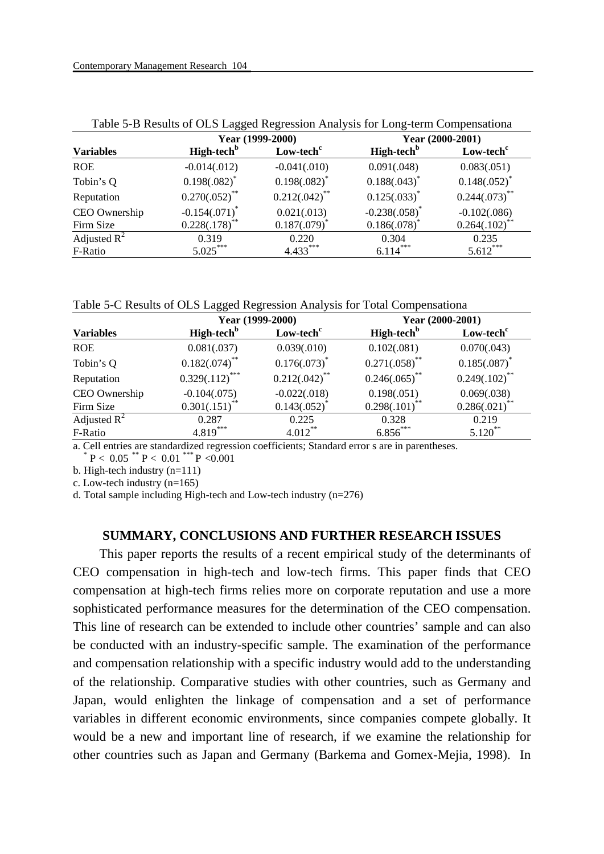| <b>Variables</b> | Year (1999-2000)       |                       | Year (2000-2001)       |                       |
|------------------|------------------------|-----------------------|------------------------|-----------------------|
|                  | High-tech <sup>b</sup> | Low-tech <sup>c</sup> | High-tech <sup>b</sup> | Low-tech <sup>c</sup> |
| <b>ROE</b>       | $-0.014(.012)$         | $-0.041(.010)$        | 0.091(.048)            | 0.083(.051)           |
| Tobin's Q        | $0.198(.082)^{*}$      | $0.198(.082)^*$       | $0.188(.043)^*$        | $0.148(.052)^{*}$     |
| Reputation       | $0.270(.052)$ **       | $0.212(.042)$ **      | $0.125(.033)^{*}$      | $0.244(.073)$ **      |
| CEO Ownership    | $-0.154(.071)^*$       | 0.021(.013)           | $-0.238(.058)^*$       | $-0.102(.086)$        |
| Firm Size        | $0.228(.178)$ **       | 0.187(.079)           | 0.186(.078)            | 0.264(.102)           |
| Adjusted $R^2$   | 0.319                  | 0.220                 | 0.304                  | 0.235                 |
| F-Ratio          | $5.025***$             | $4.433***$            | $6.114***$             | $5.612***$            |

Table 5-B Results of OLS Lagged Regression Analysis for Long-term Compensationa

Table 5-C Results of OLS Lagged Regression Analysis for Total Compensationa

|                  | Year (1999-2000)       |                       | Year (2000-2001)       |                       |
|------------------|------------------------|-----------------------|------------------------|-----------------------|
| <b>Variables</b> | High-tech <sup>b</sup> | Low-tech <sup>c</sup> | High-tech <sup>b</sup> | Low-tech <sup>c</sup> |
| <b>ROE</b>       | 0.081(.037)            | 0.039(.010)           | 0.102(.081)            | 0.070(.043)           |
| Tobin's Q        | $0.182(.074)^{**}$     | $0.176(.073)^*$       | $0.271(.058)$ **       | $0.185(.087)^*$       |
| Reputation       | $0.329(.112)$ ***      | $0.212(.042)$ **      | $0.246(.065)$ **       | $0.249(.102)$ **      |
| CEO Ownership    | $-0.104(.075)$         | $-0.022(.018)$        | 0.198(.051)            | 0.069(.038)           |
| Firm Size        | 0.301(.151)            | 0.143(.052)           | 0.298(.101)            | 0.286(.021)           |
| Adjusted $R^2$   | 0.287                  | 0.225                 | 0.328                  | 0.219                 |
| F-Ratio          | $4.819***$             | $4.012***$            | $6.856***$             | $5.120$ **            |

a. Cell entries are standardized regression coefficients; Standard error s are in parentheses.

 $P < 0.05$  \*\*  $P < 0.01$  \*\*\*  $P < 0.001$ 

b. High-tech industry (n=111)

c. Low-tech industry (n=165)

d. Total sample including High-tech and Low-tech industry (n=276)

#### **SUMMARY, CONCLUSIONS AND FURTHER RESEARCH ISSUES**

This paper reports the results of a recent empirical study of the determinants of CEO compensation in high-tech and low-tech firms. This paper finds that CEO compensation at high-tech firms relies more on corporate reputation and use a more sophisticated performance measures for the determination of the CEO compensation. This line of research can be extended to include other countries' sample and can also be conducted with an industry-specific sample. The examination of the performance and compensation relationship with a specific industry would add to the understanding of the relationship. Comparative studies with other countries, such as Germany and Japan, would enlighten the linkage of compensation and a set of performance variables in different economic environments, since companies compete globally. It would be a new and important line of research, if we examine the relationship for other countries such as Japan and Germany (Barkema and Gomex-Mejia, 1998). In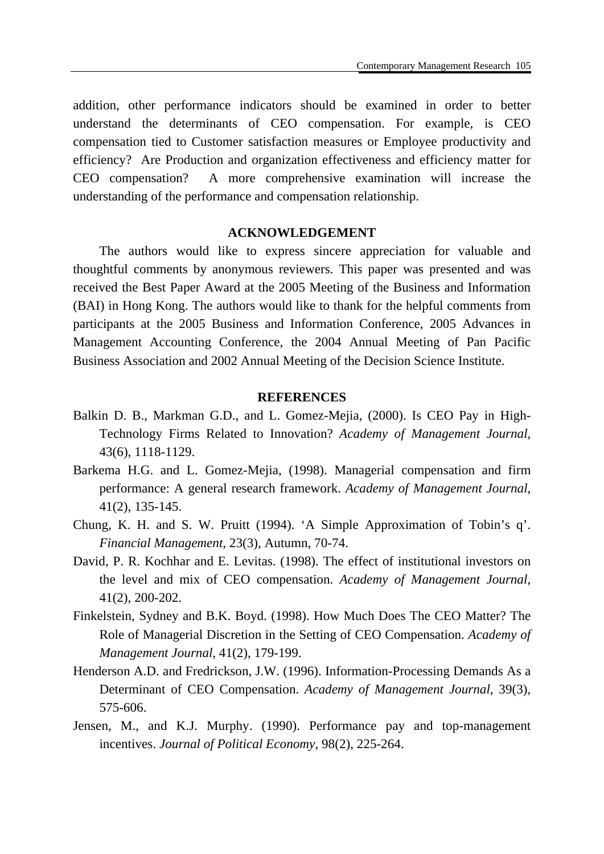addition, other performance indicators should be examined in order to better understand the determinants of CEO compensation. For example, is CEO compensation tied to Customer satisfaction measures or Employee productivity and efficiency? Are Production and organization effectiveness and efficiency matter for CEO compensation? A more comprehensive examination will increase the understanding of the performance and compensation relationship.

### **ACKNOWLEDGEMENT**

The authors would like to express sincere appreciation for valuable and thoughtful comments by anonymous reviewers. This paper was presented and was received the Best Paper Award at the 2005 Meeting of the Business and Information (BAI) in Hong Kong. The authors would like to thank for the helpful comments from participants at the 2005 Business and Information Conference, 2005 Advances in Management Accounting Conference, the 2004 Annual Meeting of Pan Pacific Business Association and 2002 Annual Meeting of the Decision Science Institute.

#### **REFERENCES**

- Balkin D. B., Markman G.D., and L. Gomez-Mejia, (2000). Is CEO Pay in High-Technology Firms Related to Innovation? *Academy of Management Journal*, 43(6), 1118-1129.
- Barkema H.G. and L. Gomez-Mejia, (1998). Managerial compensation and firm performance: A general research framework. *Academy of Management Journal*, 41(2), 135-145.
- Chung, K. H. and S. W. Pruitt (1994). 'A Simple Approximation of Tobin's q'. *Financial Management*, 23(3), Autumn, 70-74.
- David, P. R. Kochhar and E. Levitas. (1998). The effect of institutional investors on the level and mix of CEO compensation. *Academy of Management Journal*, 41(2), 200-202.
- Finkelstein, Sydney and B.K. Boyd. (1998). How Much Does The CEO Matter? The Role of Managerial Discretion in the Setting of CEO Compensation. *Academy of Management Journal*, 41(2), 179-199.
- Henderson A.D. and Fredrickson, J.W. (1996). Information-Processing Demands As a Determinant of CEO Compensation. *Academy of Management Journal*, 39(3), 575-606.
- Jensen, M., and K.J. Murphy. (1990). Performance pay and top-management incentives. *Journal of Political Economy*, 98(2), 225-264.